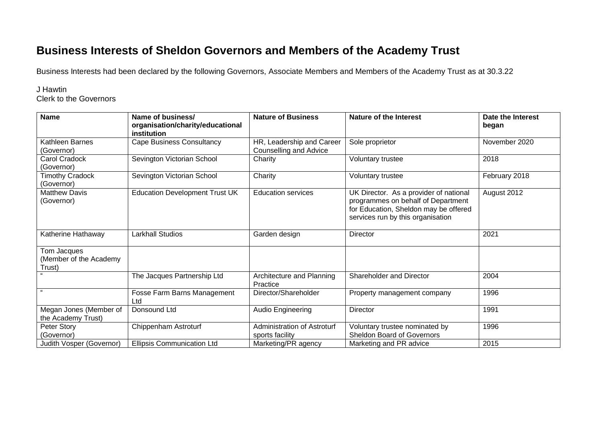## **Business Interests of Sheldon Governors and Members of the Academy Trust**

Business Interests had been declared by the following Governors, Associate Members and Members of the Academy Trust as at 30.3.22

## J Hawtin

Clerk to the Governors

| <b>Name</b>                                     | Name of business/<br>organisation/charity/educational<br>institution | <b>Nature of Business</b>                           | <b>Nature of the Interest</b>                                                                                                                              | Date the Interest<br>began |
|-------------------------------------------------|----------------------------------------------------------------------|-----------------------------------------------------|------------------------------------------------------------------------------------------------------------------------------------------------------------|----------------------------|
| Kathleen Barnes<br>(Governor)                   | <b>Cape Business Consultancy</b>                                     | HR, Leadership and Career<br>Counselling and Advice | Sole proprietor                                                                                                                                            | November 2020              |
| Carol Cradock<br>(Governor)                     | Sevington Victorian School                                           | Charity                                             | Voluntary trustee                                                                                                                                          | 2018                       |
| <b>Timothy Cradock</b><br>(Governor)            | Sevington Victorian School                                           | Charity                                             | Voluntary trustee                                                                                                                                          | February 2018              |
| <b>Matthew Davis</b><br>(Governor)              | <b>Education Development Trust UK</b>                                | <b>Education services</b>                           | UK Director. As a provider of national<br>programmes on behalf of Department<br>for Education, Sheldon may be offered<br>services run by this organisation | August 2012                |
| Katherine Hathaway                              | <b>Larkhall Studios</b>                                              | Garden design                                       | Director                                                                                                                                                   | 2021                       |
| Tom Jacques<br>(Member of the Academy<br>Trust) |                                                                      |                                                     |                                                                                                                                                            |                            |
|                                                 | The Jacques Partnership Ltd                                          | Architecture and Planning<br>Practice               | Shareholder and Director                                                                                                                                   | 2004                       |
|                                                 | Fosse Farm Barns Management<br>Ltd                                   | Director/Shareholder                                | Property management company                                                                                                                                | 1996                       |
| Megan Jones (Member of<br>the Academy Trust)    | Donsound Ltd                                                         | Audio Engineering                                   | <b>Director</b>                                                                                                                                            | 1991                       |
| Peter Story<br>(Governor)                       | Chippenham Astroturf                                                 | Administration of Astroturf<br>sports facility      | Voluntary trustee nominated by<br><b>Sheldon Board of Governors</b>                                                                                        | 1996                       |
| Judith Vosper (Governor)                        | <b>Ellipsis Communication Ltd</b>                                    | Marketing/PR agency                                 | Marketing and PR advice                                                                                                                                    | 2015                       |